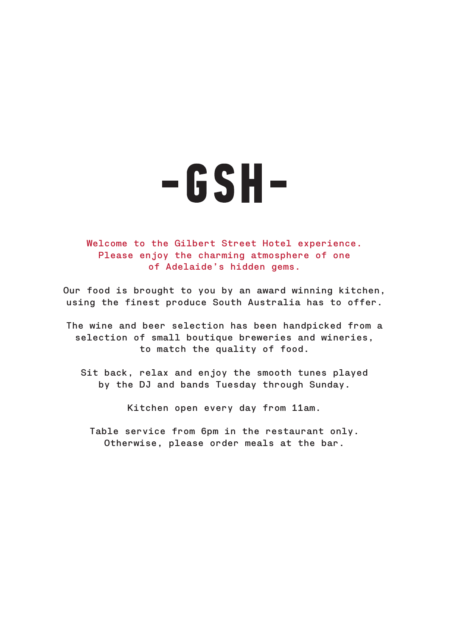

Welcome to the Gilbert Street Hotel experience. Please enjoy the charming atmosphere of one of Adelaide's hidden gems.

Our food is brought to you by an award winning kitchen, using the finest produce South Australia has to offer.

The wine and beer selection has been handpicked from a selection of small boutique breweries and wineries, to match the quality of food.

Sit back, relax and enjoy the smooth tunes played by the DJ and bands Tuesday through Sunday.

Kitchen open every day from 11am.

Table service from 6pm in the restaurant only. Otherwise, please order meals at the bar.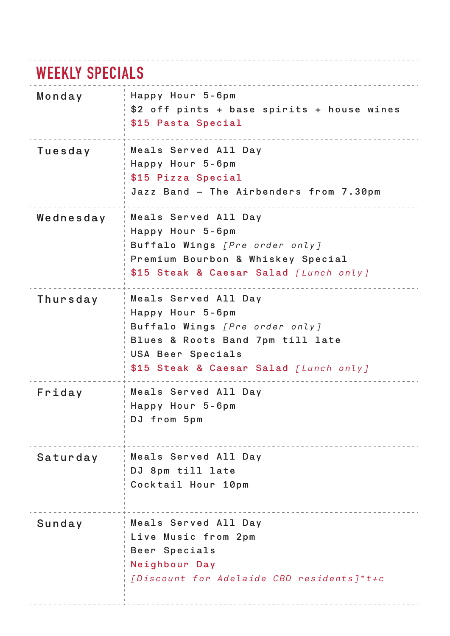# **WEEKLY SPECIALS**

| Monday    | Happy Hour 5-6pm<br>\$2 off pints + base spirits + house wines<br>\$15 Pasta Special                                                                                          |
|-----------|-------------------------------------------------------------------------------------------------------------------------------------------------------------------------------|
| Tuesday   | Meals Served All Day<br>Happy Hour 5-6pm<br>\$15 Pizza Special<br>Jazz Band - The Airbenders from 7.30pm                                                                      |
| Wednesday | Meals Served All Day<br>Happy Hour 5-6pm<br>Buffalo Wings [Pre order only]<br>Premium Bourbon & Whiskey Special<br>\$15 Steak & Caesar Salad [Lunch only]                     |
| Thursday  | Meals Served All Day<br>Happy Hour 5-6pm<br>Buffalo Wings [Pre order only]<br>Blues & Roots Band 7pm till late<br>USA Beer Specials<br>\$15 Steak & Caesar Salad [Lunch only] |
| Friday    | Meals Served All Day<br>Happy Hour 5-6pm<br>DJ from 5pm                                                                                                                       |
| Saturday  | Meals Served All Day<br>DJ 8pm till late<br>Cocktail Hour 10pm                                                                                                                |
| Sunday    | Meals Served All Day<br>Live Music from 2pm<br>Beer Specials<br>Neighbour Day<br>[Discount for Adelaide CBD residents]*t+c                                                    |

 $- - - - - -$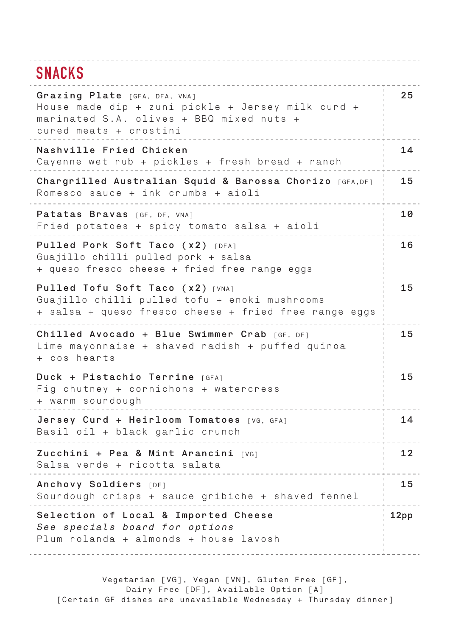#### **SNACKS**

| Grazing Plate [GFA, DFA, VNA]<br>House made dip + zuni pickle + Jersey milk curd +<br>marinated S.A. olives + BBQ mixed nuts +<br>cured meats + crostini | 25   |
|----------------------------------------------------------------------------------------------------------------------------------------------------------|------|
| Nashville Fried Chicken<br>Cayenne wet rub + pickles + fresh bread + ranch                                                                               | 14   |
| Chargrilled Australian Squid & Barossa Chorizo [GFA, DF]<br>Romesco sauce + ink crumbs + aioli                                                           | 15   |
| Patatas Bravas [GF, DF, VNA]<br>Fried potatoes + spicy tomato salsa + aioli                                                                              | 10   |
| Pulled Pork Soft Taco (x2) [DFA]<br>Guajillo chilli pulled pork + salsa<br>+ queso fresco cheese + fried free range eggs                                 | 16   |
| Pulled Tofu Soft Taco (x2) [VNA]<br>Guajillo chilli pulled tofu + enoki mushrooms<br>+ salsa + queso fresco cheese + fried free range eggs               |      |
| Chilled Avocado + Blue Swimmer Crab [GF, DF]<br>Lime mayonnaise + shaved radish + puffed quinoa<br>+ cos hearts                                          | 15   |
| Duck + Pistachio Terrine [GFA]<br>Fig chutney + cornichons + watercress<br>+ warm sourdough                                                              | 15   |
| Jersey Curd + Heirloom Tomatoes [VG, GFA]<br>Basil oil + black garlic crunch                                                                             | 14   |
| Zucchini + Pea & Mint Arancini [VG]<br>Salsa verde + ricotta salata                                                                                      | 12   |
| Anchovy Soldiers [DF]<br>Sourdough crisps + sauce gribiche + shaved fennel                                                                               | 15   |
| Selection of Local & Imported Cheese<br>See specials board for options<br>Plum rolanda + almonds + house lavosh                                          | 12pp |
|                                                                                                                                                          |      |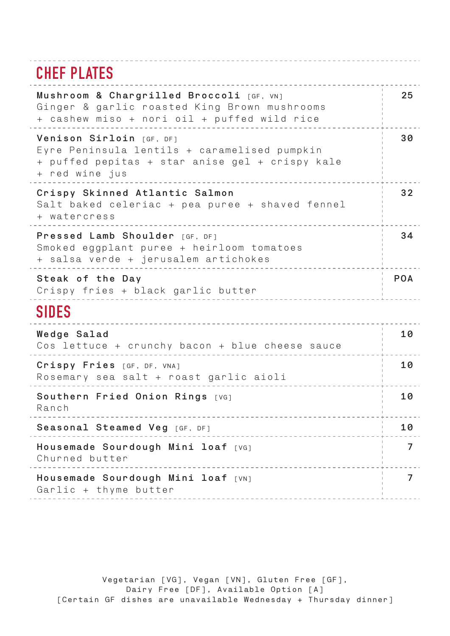## **CHEF PLATES**

| 25             |
|----------------|
| 30             |
| 32             |
| 34             |
| <b>POA</b>     |
|                |
| 10             |
| 10             |
| 10             |
| 10             |
| 7              |
| $\overline{7}$ |
|                |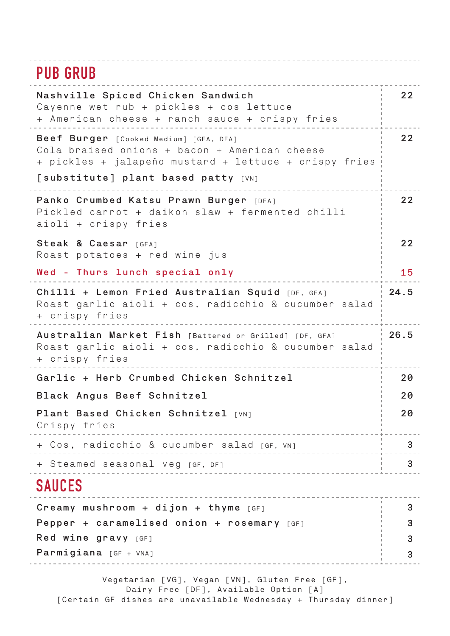#### . . . . . . . . . . . . . **PUB GRUB**

| שטווט שט                                                                                                                                                                                |      |
|-----------------------------------------------------------------------------------------------------------------------------------------------------------------------------------------|------|
| Nashville Spiced Chicken Sandwich<br>Cayenne wet rub + pickles + cos lettuce<br>+ American cheese + ranch sauce + crispy fries                                                          | 22   |
| Beef Burger [Cooked Medium] [GFA, DFA]<br>Cola braised onions + bacon + American cheese<br>+ pickles + jalapeño mustard + lettuce + crispy fries<br>[substitute] plant based patty [VN] | 22   |
|                                                                                                                                                                                         |      |
| Panko Crumbed Katsu Prawn Burger [DFA]<br>Pickled carrot + daikon slaw + fermented chilli<br>aioli + crispy fries                                                                       | 22   |
| Steak & Caesar [GFA]<br>Roast potatoes + red wine jus                                                                                                                                   | 22   |
| Wed - Thurs lunch special only                                                                                                                                                          | 15   |
| Chilli + Lemon Fried Australian Squid [DF, GFA]<br>Roast garlic aioli + cos, radicchio & cucumber salad<br>+ crispy fries                                                               | 24.5 |
| Australian Market Fish [Battered or Grilled] [DF, GFA]<br>Roast garlic aioli + cos, radicchio & cucumber salad<br>+ crispy fries                                                        | 26.5 |
| Garlic + Herb Crumbed Chicken Schnitzel                                                                                                                                                 | 20   |
| Black Angus Beef Schnitzel                                                                                                                                                              |      |
| Plant Based Chicken Schnitzel [VN]<br>Crispy fries<br>____________________                                                                                                              | 20   |
| + Cos, radicchio & cucumber salad [GF, VN]<br><u>. <del>.</del></u>                                                                                                                     | 3    |
| + Steamed seasonal veg [GF, DF]                                                                                                                                                         | 3    |
| <b>SAUCES</b>                                                                                                                                                                           |      |
| Creamy mushroom + dijon + thyme $[GF]$                                                                                                                                                  | 3    |
| Pepper + caramelised onion + rosemary $[GF]$                                                                                                                                            |      |
| $Red$ wine gravy $[GF]$                                                                                                                                                                 |      |
| <b>Parmigiana</b> $GF + VNA$                                                                                                                                                            | 3    |
|                                                                                                                                                                                         |      |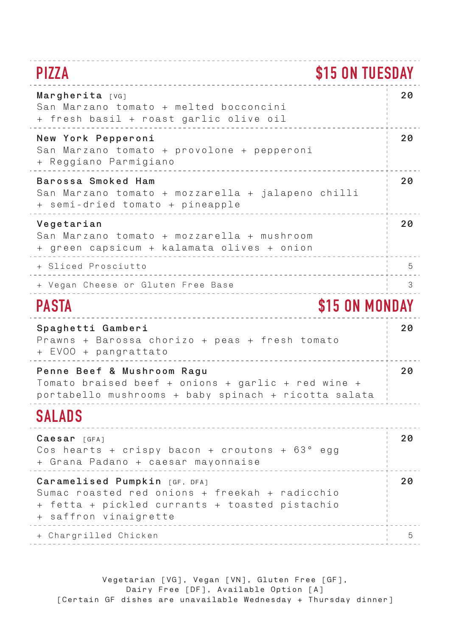## **PIZZA \$15 ON TUESDAY**

| Margherita [VG]<br>San Marzano tomato + melted bocconcini<br>+ fresh basil + roast garlic olive oil                                                        | 20 |
|------------------------------------------------------------------------------------------------------------------------------------------------------------|----|
| New York Pepperoni<br>San Marzano tomato + provolone + pepperoni<br>+ Reggiano Parmigiano                                                                  | 20 |
| Barossa Smoked Ham<br>San Marzano tomato + mozzarella + jalapeno chilli<br>+ semi-dried tomato + pineapple                                                 | 20 |
| Vegetarian<br>San Marzano tomato + mozzarella + mushroom<br>+ green capsicum + kalamata olives + onion                                                     | 20 |
| + Sliced Prosciutto                                                                                                                                        | 5  |
| + Vegan Cheese or Gluten Free Base                                                                                                                         | 3  |
| \$15 ON MONDAY<br><b>PASTA</b>                                                                                                                             |    |
| Spaghetti Gamberi<br>Prawns + Barossa chorizo + peas + fresh tomato<br>+ EVOO + pangrattato                                                                | 20 |
| Penne Beef & Mushroom Ragu<br>Tomato braised beef + onions + garlic + red wine +<br>portabello mushrooms + baby spinach + ricotta salata                   | 20 |
| SALADS                                                                                                                                                     |    |
| $Caesar$ [GFA]<br>Cos hearts + crispy bacon + croutons + $63^{\circ}$ egg<br>+ Grana Padano + caesar mayonnaise                                            | 20 |
| Caramelised Pumpkin [GF, DFA]<br>Sumac roasted red onions + freekah + radicchio<br>+ fetta + pickled currants + toasted pistachio<br>+ saffron vinaigrette | 20 |
| + Chargrilled Chicken                                                                                                                                      | 5  |